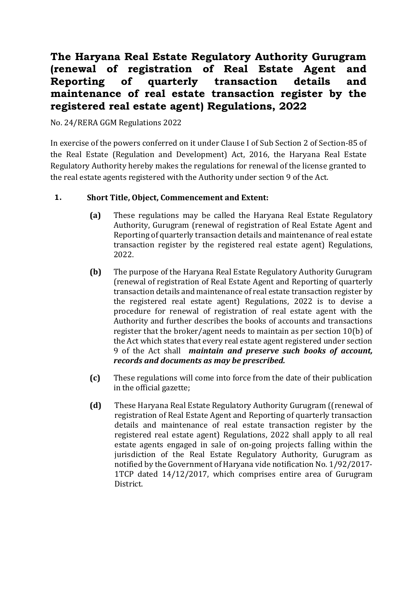# **The Haryana Real Estate Regulatory Authority Gurugram (renewal of registration of Real Estate Agent and Reporting of quarterly transaction details and maintenance of real estate transaction register by the registered real estate agent) Regulations, 2022**

No. 24/RERA GGM Regulations 2022

In exercise of the powers conferred on it under Clause I of Sub Section 2 of Section-85 of the Real Estate (Regulation and Development) Act, 2016, the Haryana Real Estate Regulatory Authority hereby makes the regulations for renewal of the license granted to the real estate agents registered with the Authority under section 9 of the Act.

# **1. Short Title, Object, Commencement and Extent:**

- **(a)** These regulations may be called the Haryana Real Estate Regulatory Authority, Gurugram (renewal of registration of Real Estate Agent and Reporting of quarterly transaction details and maintenance of real estate transaction register by the registered real estate agent) Regulations, 2022.
- **(b)** The purpose of the Haryana Real Estate Regulatory Authority Gurugram (renewal of registration of Real Estate Agent and Reporting of quarterly transaction details and maintenance of real estate transaction register by the registered real estate agent) Regulations, 2022 is to devise a procedure for renewal of registration of real estate agent with the Authority and further describes the books of accounts and transactions register that the broker/agent needs to maintain as per section 10(b) of the Act which states that every real estate agent registered under section 9 of the Act shall *maintain and preserve such books of account, records and documents as may be prescribed.*
- **(c)** These regulations will come into force from the date of their publication in the official gazette;
- **(d)** These Haryana Real Estate Regulatory Authority Gurugram ((renewal of registration of Real Estate Agent and Reporting of quarterly transaction details and maintenance of real estate transaction register by the registered real estate agent) Regulations, 2022 shall apply to all real estate agents engaged in sale of on-going projects falling within the jurisdiction of the Real Estate Regulatory Authority, Gurugram as notified by the Government of Haryana vide notification No. 1/92/2017- 1TCP dated 14/12/2017, which comprises entire area of Gurugram District.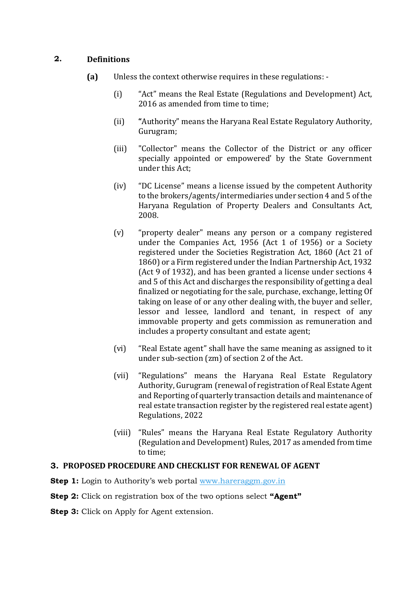## **2. Definitions**

- **(a)** Unless the context otherwise requires in these regulations:
	- (i) "Act" means the Real Estate (Regulations and Development) Act, 2016 as amended from time to time;
	- (ii) **"**Authority" means the Haryana Real Estate Regulatory Authority, Gurugram;
	- (iii) "Collector" means the Collector of the District or any officer specially appointed or empowered' by the State Government under this Act;
	- (iv) "DC License" means a license issued by the competent Authority to the brokers/agents/intermediaries under section 4 and 5 of the Haryana Regulation of Property Dealers and Consultants Act, 2008.
	- (v) "property dealer" means any person or a company registered under the Companies Act, 1956 (Act 1 of 1956) or a Society registered under the Societies Registration Act, 1860 (Act 21 of 1860) or a Firm registered under the Indian Partnership Act, 1932 (Act 9 of 1932), and has been granted a license under sections 4 and 5 of this Act and discharges the responsibility of getting a deal finalized or negotiating for the sale, purchase, exchange, letting Of taking on lease of or any other dealing with, the buyer and seller, lessor and lessee, landlord and tenant, in respect of any immovable property and gets commission as remuneration and includes a property consultant and estate agent;
	- (vi) "Real Estate agent" shall have the same meaning as assigned to it under sub-section (zm) of section 2 of the Act.
	- (vii) "Regulations" means the Haryana Real Estate Regulatory Authority, Gurugram (renewal of registration of Real Estate Agent and Reporting of quarterly transaction details and maintenance of real estate transaction register by the registered real estate agent) Regulations, 2022
	- (viii) "Rules" means the Haryana Real Estate Regulatory Authority (Regulation and Development) Rules, 2017 as amended from time to time;

## **3. PROPOSED PROCEDURE AND CHECKLIST FOR RENEWAL OF AGENT**

**Step 1:** Login to Authority's web portal [www.hareraggm.gov.in](http://www.hareraggm.gov.in/)

**Step 2:** Click on registration box of the two options select **"Agent"**

**Step 3:** Click on Apply for Agent extension.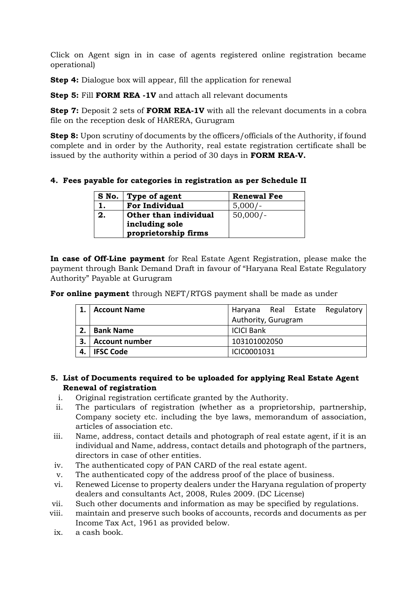Click on Agent sign in in case of agents registered online registration became operational)

**Step 4:** Dialogue box will appear, fill the application for renewal

**Step 5:** Fill **FORM REA -1V** and attach all relevant documents

**Step 7:** Deposit 2 sets of **FORM REA-1V** with all the relevant documents in a cobra file on the reception desk of HARERA, Gurugram

**Step 8:** Upon scrutiny of documents by the officers/officials of the Authority, if found complete and in order by the Authority, real estate registration certificate shall be issued by the authority within a period of 30 days in **FORM REA-V.**

**4. Fees payable for categories in registration as per Schedule II**

|    | S No.   Type of agent | <b>Renewal Fee</b> |
|----|-----------------------|--------------------|
|    | <b>For Individual</b> | $5,000/-$          |
| 2. | Other than individual | $50,000/-$         |
|    | including sole        |                    |
|    | proprietorship firms  |                    |

**In case of Off-Line payment** for Real Estate Agent Registration, please make the payment through Bank Demand Draft in favour of "Haryana Real Estate Regulatory Authority" Payable at Gurugram

**For online payment** through NEFT/RTGS payment shall be made as under

|    | <b>Account Name</b>   |                     |  |  | Haryana Real Estate Regulatory |
|----|-----------------------|---------------------|--|--|--------------------------------|
|    |                       | Authority, Gurugram |  |  |                                |
| 2. | <b>Bank Name</b>      | <b>ICICI Bank</b>   |  |  |                                |
| 3. | <b>Account number</b> | 103101002050        |  |  |                                |
|    | <b>IFSC Code</b>      | ICIC0001031         |  |  |                                |

#### **5. List of Documents required to be uploaded for applying Real Estate Agent Renewal of registration**

- i. Original registration certificate granted by the Authority.
- ii. The particulars of registration (whether as a proprietorship, partnership, Company society etc. including the bye laws, memorandum of association, articles of association etc.
- iii. Name, address, contact details and photograph of real estate agent, if it is an individual and Name, address, contact details and photograph of the partners, directors in case of other entities.
- iv. The authenticated copy of PAN CARD of the real estate agent.
- v. The authenticated copy of the address proof of the place of business.
- vi. Renewed License to property dealers under the Haryana regulation of property dealers and consultants Act, 2008, Rules 2009. (DC License)
- vii. Such other documents and information as may be specified by regulations.
- viii. maintain and preserve such books of accounts, records and documents as per Income Tax Act, 1961 as provided below.
- ix. a cash book.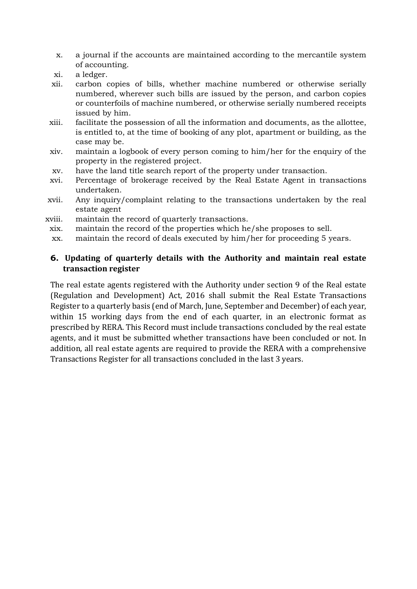- x. a journal if the accounts are maintained according to the mercantile system of accounting.
- xi. a ledger.
- xii. carbon copies of bills, whether machine numbered or otherwise serially numbered, wherever such bills are issued by the person, and carbon copies or counterfoils of machine numbered, or otherwise serially numbered receipts issued by him.
- xiii. facilitate the possession of all the information and documents, as the allottee, is entitled to, at the time of booking of any plot, apartment or building, as the case may be.
- xiv. maintain a logbook of every person coming to him/her for the enquiry of the property in the registered project.
- xv. have the land title search report of the property under transaction.
- xvi. Percentage of brokerage received by the Real Estate Agent in transactions undertaken.
- xvii. Any inquiry/complaint relating to the transactions undertaken by the real estate agent
- xviii. maintain the record of quarterly transactions.
	- xix. maintain the record of the properties which he/she proposes to sell.
	- xx. maintain the record of deals executed by him/her for proceeding 5 years.

### **6. Updating of quarterly details with the Authority and maintain real estate transaction register**

The real estate agents registered with the Authority under section 9 of the Real estate (Regulation and Development) Act, 2016 shall submit the Real Estate Transactions Register to a quarterly basis (end of March, June, September and December) of each year, within 15 working days from the end of each quarter, in an electronic format as prescribed by RERA. This Record must include transactions concluded by the real estate agents, and it must be submitted whether transactions have been concluded or not. In addition, all real estate agents are required to provide the RERA with a comprehensive Transactions Register for all transactions concluded in the last 3 years.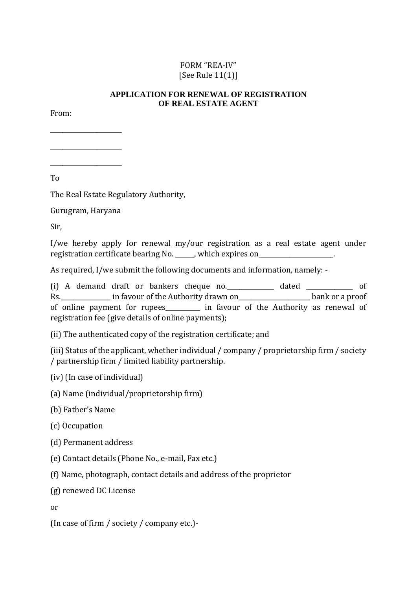# FORM "REA-IV" [See Rule 11(1)]

## **APPLICATION FOR RENEWAL OF REGISTRATION OF REAL ESTATE AGENT**

From:

\_\_\_\_\_\_\_\_\_\_\_\_\_\_\_\_\_\_\_\_\_\_\_

\_\_\_\_\_\_\_\_\_\_\_\_\_\_\_\_\_\_\_\_\_\_\_ \_\_\_\_\_\_\_\_\_\_\_\_\_\_\_\_\_\_\_\_\_\_\_

To

The Real Estate Regulatory Authority,

Gurugram, Haryana

Sir,

I/we hereby apply for renewal my/our registration as a real estate agent under registration certificate bearing No. \_\_\_\_\_, which expires on\_\_\_\_\_\_\_\_\_\_\_\_\_\_\_\_\_\_\_\_.

As required, I/we submit the following documents and information, namely: -

(i) A demand draft or bankers cheque no.\_\_\_\_\_\_\_\_\_\_\_\_\_\_\_ dated \_\_\_\_\_\_\_\_\_\_\_\_\_\_\_ of Rs. \_\_\_\_\_\_\_\_\_\_\_\_\_\_ in favour of the Authority drawn on\_\_\_\_\_\_\_\_\_\_\_\_\_\_\_\_\_\_\_\_\_\_\_\_\_\_ bank or a proof of online payment for rupees\_\_\_\_\_\_\_\_\_\_\_ in favour of the Authority as renewal of registration fee (give details of online payments);

(ii) The authenticated copy of the registration certificate; and

(iii) Status of the applicant, whether individual / company / proprietorship firm / society / partnership firm / limited liability partnership.

(iv) (In case of individual)

(a) Name (individual/proprietorship firm)

(b) Father's Name

(c) Occupation

(d) Permanent address

(e) Contact details (Phone No., e-mail, Fax etc.)

(f) Name, photograph, contact details and address of the proprietor

(g) renewed DC License

or

(In case of firm / society / company etc.)-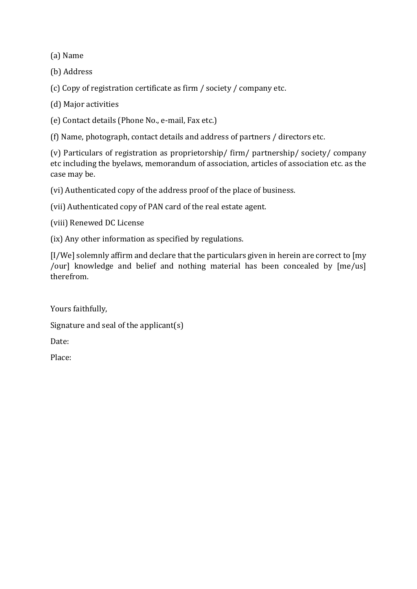(a) Name

(b) Address

(c) Copy of registration certificate as firm / society / company etc.

(d) Major activities

(e) Contact details (Phone No., e-mail, Fax etc.)

(f) Name, photograph, contact details and address of partners / directors etc.

(v) Particulars of registration as proprietorship/ firm/ partnership/ society/ company etc including the byelaws, memorandum of association, articles of association etc. as the case may be.

(vi) Authenticated copy of the address proof of the place of business.

(vii) Authenticated copy of PAN card of the real estate agent.

(viii) Renewed DC License

(ix) Any other information as specified by regulations.

[I/We] solemnly affirm and declare that the particulars given in herein are correct to [my /our] knowledge and belief and nothing material has been concealed by [me/us] therefrom.

Yours faithfully,

Signature and seal of the applicant(s)

Date:

Place: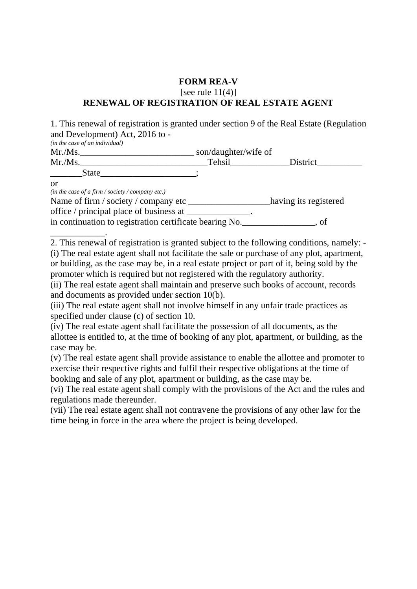## **FORM REA-V**  [see rule  $11(4)$ ] **RENEWAL OF REGISTRATION OF REAL ESTATE AGENT**

1. This renewal of registration is granted under section 9 of the Real Estate (Regulation and Development) Act, 2016 to -

*(in the case of an individual)* 

| Mr.Ms. | son/daughter/wife of |          |
|--------|----------------------|----------|
| Mr.Ms. | Tehsil               | District |
| State  |                      |          |

or

*(in the case of a firm / society / company etc.)* 

Name of firm / society / company etc \_\_\_\_\_\_\_\_\_\_\_\_\_\_\_\_\_\_having its registered

office / principal place of business at \_\_\_\_\_\_\_\_\_\_\_\_\_\_.

in continuation to registration certificate bearing No.\_\_\_\_\_\_\_\_\_\_\_\_\_\_\_\_, of

\_\_\_\_\_\_\_\_\_\_\_\_. 2. This renewal of registration is granted subject to the following conditions, namely: - (i) The real estate agent shall not facilitate the sale or purchase of any plot, apartment, or building, as the case may be, in a real estate project or part of it, being sold by the promoter which is required but not registered with the regulatory authority.

(ii) The real estate agent shall maintain and preserve such books of account, records and documents as provided under section 10(b).

(iii) The real estate agent shall not involve himself in any unfair trade practices as specified under clause (c) of section 10.

(iv) The real estate agent shall facilitate the possession of all documents, as the allottee is entitled to, at the time of booking of any plot, apartment, or building, as the case may be.

(v) The real estate agent shall provide assistance to enable the allottee and promoter to exercise their respective rights and fulfil their respective obligations at the time of booking and sale of any plot, apartment or building, as the case may be.

(vi) The real estate agent shall comply with the provisions of the Act and the rules and regulations made thereunder.

(vii) The real estate agent shall not contravene the provisions of any other law for the time being in force in the area where the project is being developed.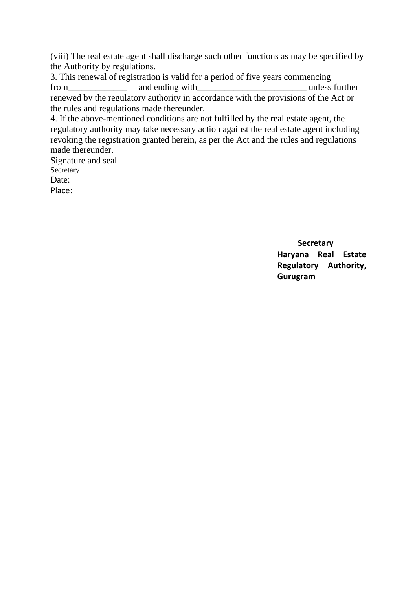(viii) The real estate agent shall discharge such other functions as may be specified by the Authority by regulations.

3. This renewal of registration is valid for a period of five years commencing from\_\_\_\_\_\_\_\_\_\_\_\_\_ and ending with\_\_\_\_\_\_\_\_\_\_\_\_\_\_\_\_\_\_\_\_\_\_\_\_ unless further renewed by the regulatory authority in accordance with the provisions of the Act or the rules and regulations made thereunder.

4. If the above-mentioned conditions are not fulfilled by the real estate agent, the regulatory authority may take necessary action against the real estate agent including revoking the registration granted herein, as per the Act and the rules and regulations made thereunder.

Signature and seal Secretary Date: Place:

> **Secretary Haryana Real Estate Regulatory Authority, Gurugram**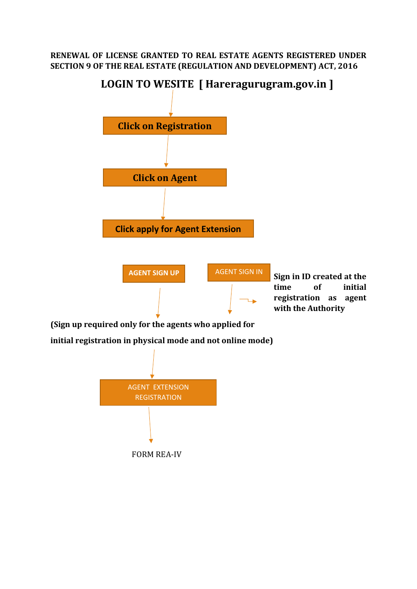## **RENEWAL OF LICENSE GRANTED TO REAL ESTATE AGENTS REGISTERED UNDER SECTION 9 OF THE REAL ESTATE (REGULATION AND DEVELOPMENT) ACT, 2016**



**(Sign up required only for the agents who applied for** 

**initial registration in physical mode and not online mode)**

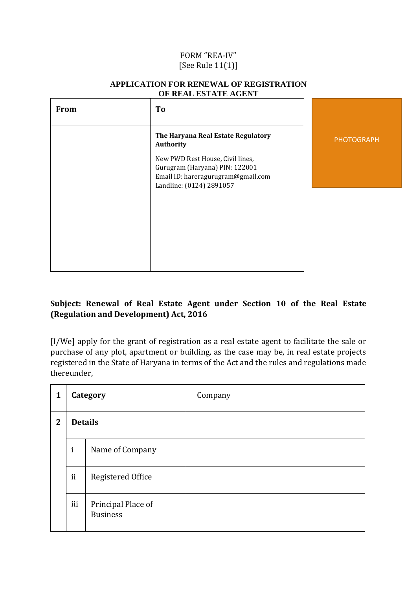## FORM "REA-IV" [See Rule 11(1)]

| <b>From</b> | To                                                                                                                                   |                   |
|-------------|--------------------------------------------------------------------------------------------------------------------------------------|-------------------|
|             | The Haryana Real Estate Regulatory<br>Authority                                                                                      | <b>PHOTOGRAPH</b> |
|             | New PWD Rest House, Civil lines,<br>Gurugram (Haryana) PIN: 122001<br>Email ID: hareragurugram@gmail.com<br>Landline: (0124) 2891057 |                   |
|             |                                                                                                                                      |                   |
|             |                                                                                                                                      |                   |
|             |                                                                                                                                      |                   |

#### **APPLICATION FOR RENEWAL OF REGISTRATION OF REAL ESTATE AGENT**

# **Subject: Renewal of Real Estate Agent under Section 10 of the Real Estate (Regulation and Development) Act, 2016**

[I/We] apply for the grant of registration as a real estate agent to facilitate the sale or purchase of any plot, apartment or building, as the case may be, in real estate projects registered in the State of Haryana in terms of the Act and the rules and regulations made thereunder,

| 1            | Category       |                                       | Company |
|--------------|----------------|---------------------------------------|---------|
| $\mathbf{2}$ | <b>Details</b> |                                       |         |
|              | $\mathbf{i}$   | Name of Company                       |         |
|              | ii             | Registered Office                     |         |
|              | iii            | Principal Place of<br><b>Business</b> |         |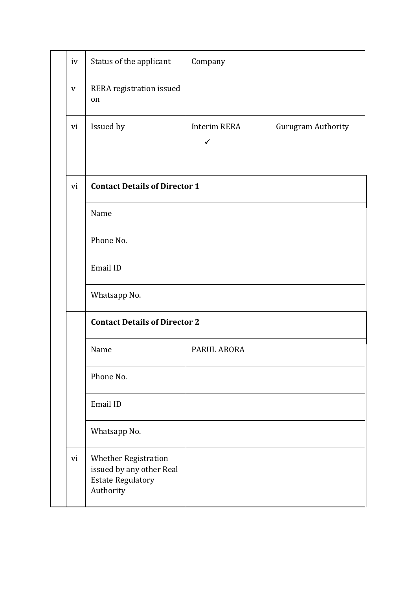| iv | Status of the applicant                                                                          | Company                                            |
|----|--------------------------------------------------------------------------------------------------|----------------------------------------------------|
| V  | RERA registration issued<br>on                                                                   |                                                    |
| vi | Issued by                                                                                        | Interim RERA<br>Gurugram Authority<br>$\checkmark$ |
| vi | <b>Contact Details of Director 1</b>                                                             |                                                    |
|    | Name                                                                                             |                                                    |
|    | Phone No.                                                                                        |                                                    |
|    | Email ID                                                                                         |                                                    |
|    | Whatsapp No.                                                                                     |                                                    |
|    | <b>Contact Details of Director 2</b>                                                             |                                                    |
|    | Name                                                                                             | PARUL ARORA                                        |
|    | Phone No.                                                                                        |                                                    |
|    | Email ID                                                                                         |                                                    |
|    | Whatsapp No.                                                                                     |                                                    |
| vi | <b>Whether Registration</b><br>issued by any other Real<br><b>Estate Regulatory</b><br>Authority |                                                    |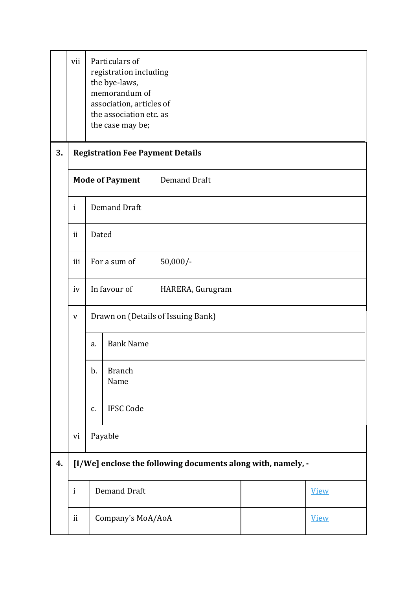|    | vii                     |                                         | Particulars of<br>registration including<br>the bye-laws,<br>memorandum of<br>association, articles of<br>the association etc. as<br>the case may be; |                     |                  |                                                              |  |
|----|-------------------------|-----------------------------------------|-------------------------------------------------------------------------------------------------------------------------------------------------------|---------------------|------------------|--------------------------------------------------------------|--|
| 3. |                         | <b>Registration Fee Payment Details</b> |                                                                                                                                                       |                     |                  |                                                              |  |
|    | <b>Mode of Payment</b>  |                                         |                                                                                                                                                       | <b>Demand Draft</b> |                  |                                                              |  |
|    | $\mathbf{i}$            | <b>Demand Draft</b>                     |                                                                                                                                                       |                     |                  |                                                              |  |
|    | $\mathbf{ii}$           | Dated                                   |                                                                                                                                                       |                     |                  |                                                              |  |
|    | iii                     | For a sum of<br>$50,000/-$              |                                                                                                                                                       |                     |                  |                                                              |  |
|    | iv                      | In favour of                            |                                                                                                                                                       |                     | HARERA, Gurugram |                                                              |  |
|    | $\mathbf{V}$            | Drawn on (Details of Issuing Bank)      |                                                                                                                                                       |                     |                  |                                                              |  |
|    |                         | <b>Bank Name</b><br>a.                  |                                                                                                                                                       |                     |                  |                                                              |  |
|    |                         | b.                                      | <b>Branch</b><br>Name                                                                                                                                 |                     |                  |                                                              |  |
|    |                         | c.                                      | <b>IFSC Code</b>                                                                                                                                      |                     |                  |                                                              |  |
|    | vi                      | Payable                                 |                                                                                                                                                       |                     |                  |                                                              |  |
| 4. |                         |                                         |                                                                                                                                                       |                     |                  | [I/We] enclose the following documents along with, namely, - |  |
|    | $\mathbf{i}$            | <b>Demand Draft</b>                     |                                                                                                                                                       |                     |                  | <b>View</b>                                                  |  |
|    | Company's MoA/AoA<br>ii |                                         |                                                                                                                                                       |                     | <b>View</b>      |                                                              |  |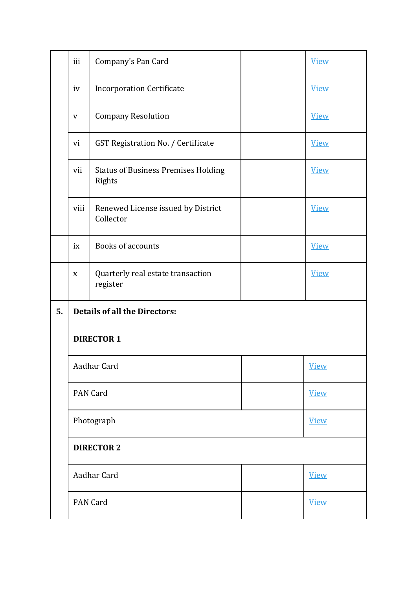|    | iii                                    | Company's Pan Card                                   |  | <b>View</b> |  |  |
|----|----------------------------------------|------------------------------------------------------|--|-------------|--|--|
|    | <b>Incorporation Certificate</b><br>iv |                                                      |  | <b>View</b> |  |  |
|    | $\mathbf V$                            | <b>Company Resolution</b>                            |  | <b>View</b> |  |  |
|    | vi                                     | GST Registration No. / Certificate                   |  | <b>View</b> |  |  |
|    | vii                                    | <b>Status of Business Premises Holding</b><br>Rights |  | <b>View</b> |  |  |
|    | viii                                   | Renewed License issued by District<br>Collector      |  | <b>View</b> |  |  |
|    | ix                                     | <b>Books of accounts</b>                             |  | <b>View</b> |  |  |
|    | X                                      | Quarterly real estate transaction<br>register        |  | <b>View</b> |  |  |
| 5. |                                        | <b>Details of all the Directors:</b>                 |  |             |  |  |
|    | <b>DIRECTOR 1</b>                      |                                                      |  |             |  |  |
|    | Aadhar Card                            |                                                      |  | <b>View</b> |  |  |
|    |                                        | <b>PAN Card</b>                                      |  | <b>View</b> |  |  |
|    |                                        | Photograph                                           |  | <b>View</b> |  |  |
|    | <b>DIRECTOR 2</b>                      |                                                      |  |             |  |  |
|    |                                        | Aadhar Card                                          |  | <b>View</b> |  |  |
|    |                                        | PAN Card                                             |  | <b>View</b> |  |  |